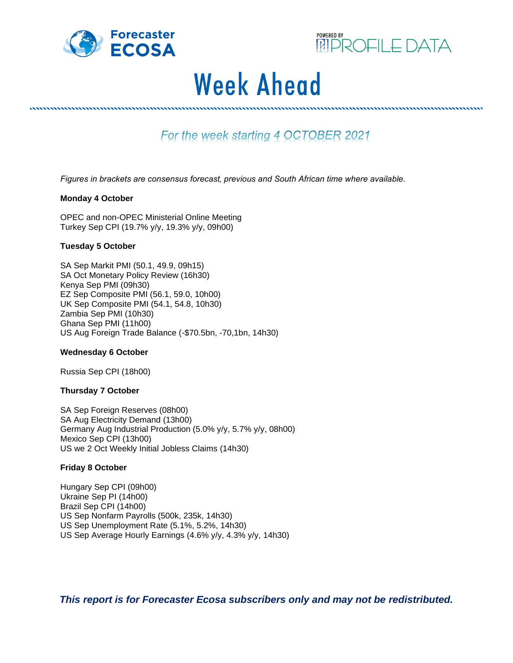



# **Week Ahead**

For the week starting 4 OCTOBER 2021

*Figures in brackets are consensus forecast' previous and South African time where available.*

#### **Monday 4 October**

OPEC and non-OPEC Ministerial Online Meeting Turkey Sep CPI (19.7% y/y, 19.3% y/y, 09h00)

,,,,,,,,,,,,,,,,,,,,,,,,,,,,,

#### **Tuesday 5 October**

SA Sep Markit PMI (50.1, 49.9, 09h15) SA Oct Monetary Policy Review (16h30) Kenya Sep PMI (09h30) EZ Sep Composite PMI (56.1, 59.0, 10h00) UK Sep Composite PMI (54.1, 54.8, 10h30) Zambia Sep PMI (10h30) Ghana Sep PMI (11h00) US Aug Foreign Trade Balance (-\$70.5bn, -70,1bn, 14h30)

#### **Wednesday 6 October**

Russia Sep CPI (18h00)

## **Thursday 7 October**

SA Sep Foreign Reserves (08h00) SA Aug Electricity Demand (13h00) Germany Aug Industrial Production (5.0% y/y, 5.7% y/y, 08h00) Mexico Sep CPI (13h00) US we 2 Oct Weekly Initial Jobless Claims (14h30)

## **Friday 8 October**

Hungary Sep CPI (09h00) Ukraine Sep PI (14h00) Brazil Sep CPI (14h00) US Sep Nonfarm Payrolls (500k, 235k, 14h30) US Sep Unemployment Rate (5.1%, 5.2%, 14h30) US Sep Average Hourly Earnings (4.6% y/y, 4.3% y/y, 14h30)

*This report is for Forecaster Ecosa subscribers only and may not be redistributed.*